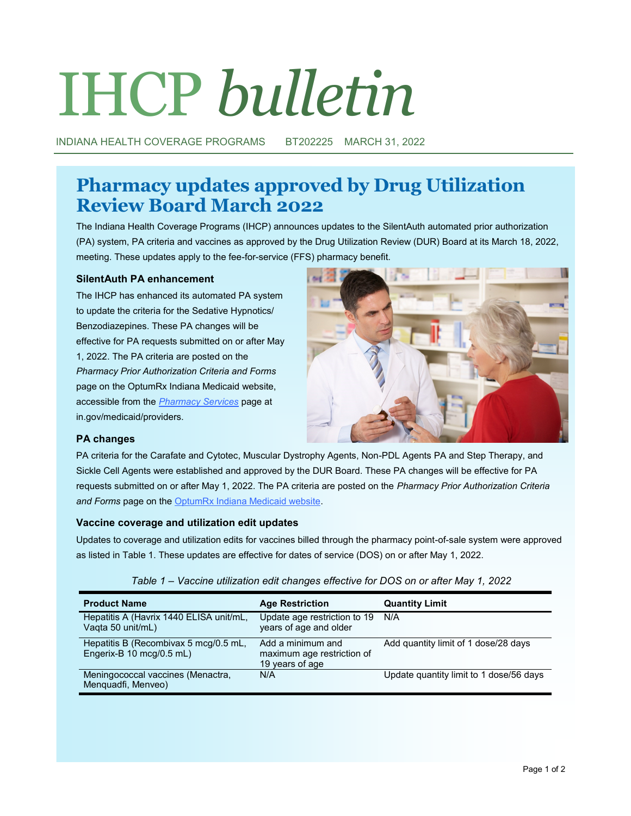# IHCP *bulletin*

INDIANA HEALTH COVERAGE PROGRAMS BT202225 MARCH 31, 2022

# **Pharmacy updates approved by Drug Utilization Review Board March 2022**

The Indiana Health Coverage Programs (IHCP) announces updates to the SilentAuth automated prior authorization (PA) system, PA criteria and vaccines as approved by the Drug Utilization Review (DUR) Board at its March 18, 2022, meeting. These updates apply to the fee-for-service (FFS) pharmacy benefit.

## **SilentAuth PA enhancement**

The IHCP has enhanced its automated PA system to update the criteria for the Sedative Hypnotics/ Benzodiazepines. These PA changes will be effective for PA requests submitted on or after May 1, 2022. The PA criteria are posted on the *Pharmacy Prior Authorization Criteria and Forms* page on the OptumRx Indiana Medicaid website, accessible from the *[Pharmacy Services](https://www.in.gov/medicaid/providers/clinical-services/pharmacy-benefits/pharmacy-services/)* page at in.gov/medicaid/providers.



### **PA changes**

PA criteria for the Carafate and Cytotec, Muscular Dystrophy Agents, Non-PDL Agents PA and Step Therapy, and Sickle Cell Agents were established and approved by the DUR Board. These PA changes will be effective for PA requests submitted on or after May 1, 2022. The PA criteria are posted on the *Pharmacy Prior Authorization Criteria and Forms* page on the [OptumRx Indiana Medicaid website.](https://inm-providerportal.optum.com/providerportal/faces/PreLogin.jsp)

### **Vaccine coverage and utilization edit updates**

Updates to coverage and utilization edits for vaccines billed through the pharmacy point-of-sale system were approved as listed in Table 1. These updates are effective for dates of service (DOS) on or after May 1, 2022.

| <b>Product Name</b>                                                                  | <b>Age Restriction</b>                                             | <b>Quantity Limit</b>                   |
|--------------------------------------------------------------------------------------|--------------------------------------------------------------------|-----------------------------------------|
| Hepatitis A (Havrix 1440 ELISA unit/mL,<br>Vaqta 50 unit/mL)                         | Update age restriction to 19<br>years of age and older             | N/A                                     |
| Hepatitis B (Recombivax 5 mcg/0.5 mL,<br>Engerix-B $10 \text{ mca}/0.5 \text{ mL}$ ) | Add a minimum and<br>maximum age restriction of<br>19 years of age | Add quantity limit of 1 dose/28 days    |
| Meningococcal vaccines (Menactra,<br>Menquadfi, Menveo)                              | N/A                                                                | Update quantity limit to 1 dose/56 days |

|  | Table 1 – Vaccine utilization edit changes effective for DOS on or after May 1, 2022 |  |  |  |  |
|--|--------------------------------------------------------------------------------------|--|--|--|--|
|  |                                                                                      |  |  |  |  |